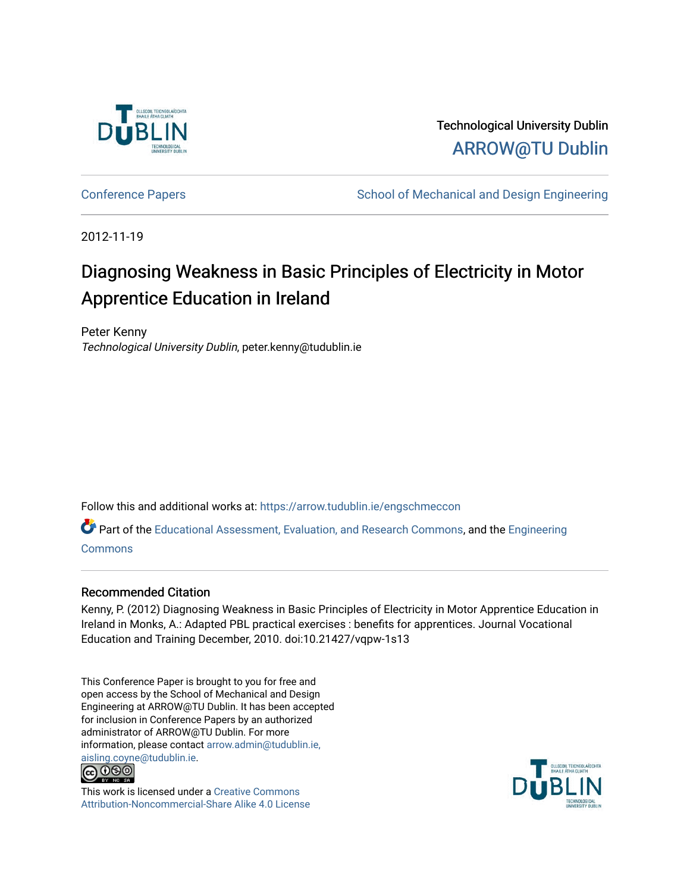

Technological University Dublin [ARROW@TU Dublin](https://arrow.tudublin.ie/) 

[Conference Papers](https://arrow.tudublin.ie/engschmeccon) **School of Mechanical and Design Engineering** School of Mechanical and Design Engineering

2012-11-19

# Diagnosing Weakness in Basic Principles of Electricity in Motor Apprentice Education in Ireland

Peter Kenny Technological University Dublin, peter.kenny@tudublin.ie

Follow this and additional works at: [https://arrow.tudublin.ie/engschmeccon](https://arrow.tudublin.ie/engschmeccon?utm_source=arrow.tudublin.ie%2Fengschmeccon%2F56&utm_medium=PDF&utm_campaign=PDFCoverPages) 

Part of the [Educational Assessment, Evaluation, and Research Commons](http://network.bepress.com/hgg/discipline/796?utm_source=arrow.tudublin.ie%2Fengschmeccon%2F56&utm_medium=PDF&utm_campaign=PDFCoverPages), and the [Engineering](http://network.bepress.com/hgg/discipline/217?utm_source=arrow.tudublin.ie%2Fengschmeccon%2F56&utm_medium=PDF&utm_campaign=PDFCoverPages)  **[Commons](http://network.bepress.com/hgg/discipline/217?utm_source=arrow.tudublin.ie%2Fengschmeccon%2F56&utm_medium=PDF&utm_campaign=PDFCoverPages)** 

#### Recommended Citation

Kenny, P. (2012) Diagnosing Weakness in Basic Principles of Electricity in Motor Apprentice Education in Ireland in Monks, A.: Adapted PBL practical exercises : benefits for apprentices. Journal Vocational Education and Training December, 2010. doi:10.21427/vqpw-1s13

This Conference Paper is brought to you for free and open access by the School of Mechanical and Design Engineering at ARROW@TU Dublin. It has been accepted for inclusion in Conference Papers by an authorized administrator of ARROW@TU Dublin. For more information, please contact [arrow.admin@tudublin.ie,](mailto:arrow.admin@tudublin.ie,%20aisling.coyne@tudublin.ie)  [aisling.coyne@tudublin.ie.](mailto:arrow.admin@tudublin.ie,%20aisling.coyne@tudublin.ie)<br>© 090



This work is licensed under a [Creative Commons](http://creativecommons.org/licenses/by-nc-sa/4.0/) [Attribution-Noncommercial-Share Alike 4.0 License](http://creativecommons.org/licenses/by-nc-sa/4.0/)

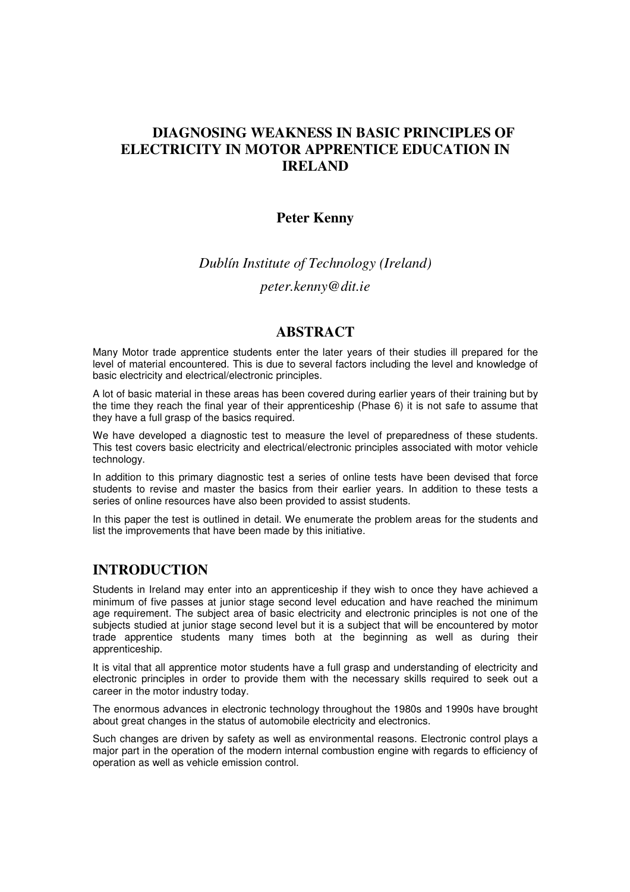## **DIAGNOSING WEAKNESS IN BASIC PRINCIPLES OF ELECTRICITY IN MOTOR APPRENTICE EDUCATION IN IRELAND**

#### **Peter Kenny**

## *Dublín Institute of Technology (Ireland)*

*peter.kenny@dit.ie*

#### **ABSTRACT**

Many Motor trade apprentice students enter the later years of their studies ill prepared for the level of material encountered. This is due to several factors including the level and knowledge of basic electricity and electrical/electronic principles.

A lot of basic material in these areas has been covered during earlier years of their training but by the time they reach the final year of their apprenticeship (Phase 6) it is not safe to assume that they have a full grasp of the basics required.

We have developed a diagnostic test to measure the level of preparedness of these students. This test covers basic electricity and electrical/electronic principles associated with motor vehicle technology.

In addition to this primary diagnostic test a series of online tests have been devised that force students to revise and master the basics from their earlier years. In addition to these tests a series of online resources have also been provided to assist students.

In this paper the test is outlined in detail. We enumerate the problem areas for the students and list the improvements that have been made by this initiative.

### **INTRODUCTION**

Students in Ireland may enter into an apprenticeship if they wish to once they have achieved a minimum of five passes at junior stage second level education and have reached the minimum age requirement. The subject area of basic electricity and electronic principles is not one of the subjects studied at junior stage second level but it is a subject that will be encountered by motor trade apprentice students many times both at the beginning as well as during their apprenticeship.

It is vital that all apprentice motor students have a full grasp and understanding of electricity and electronic principles in order to provide them with the necessary skills required to seek out a career in the motor industry today.

The enormous advances in electronic technology throughout the 1980s and 1990s have brought about great changes in the status of automobile electricity and electronics.

Such changes are driven by safety as well as environmental reasons. Electronic control plays a major part in the operation of the modern internal combustion engine with regards to efficiency of operation as well as vehicle emission control.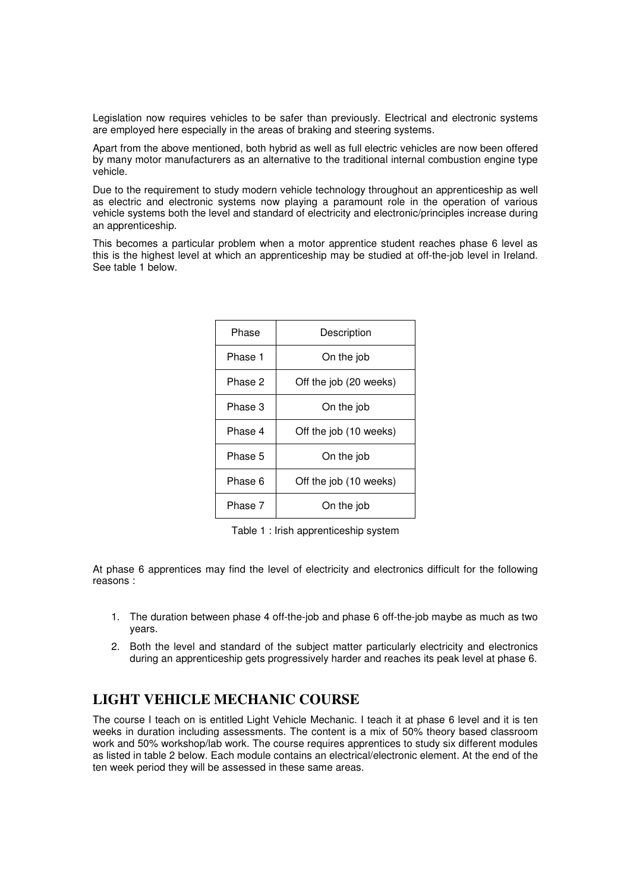Legislation now requires vehicles to be safer than previously. Electrical and electronic systems are employed here especially in the areas of braking and steering systems.

Apart from the above mentioned, both hybrid as well as full electric vehicles are now been offered by many motor manufacturers as an alternative to the traditional internal combustion engine type vehicle.

Due to the requirement to study modern vehicle technology throughout an apprenticeship as well as electric and electronic systems now playing a paramount role in the operation of various vehicle systems both the level and standard of electricity and electronic/principles increase during an apprenticeship.

This becomes a particular problem when a motor apprentice student reaches phase 6 level as this is the highest level at which an apprenticeship may be studied at off-the-job level in Ireland. See table 1 below.

| Phase   | Description            |
|---------|------------------------|
| Phase 1 | On the job             |
| Phase 2 | Off the job (20 weeks) |
| Phase 3 | On the job             |
| Phase 4 | Off the job (10 weeks) |
| Phase 5 | On the job             |
| Phase 6 | Off the job (10 weeks) |
| Phase 7 | On the job             |

Table 1 : Irish apprenticeship system

At phase 6 apprentices may find the level of electricity and electronics difficult for the following reasons :

- 1. The duration between phase 4 off-the-job and phase 6 off-the-job maybe as much as two years.
- 2. Both the level and standard of the subject matter particularly electricity and electronics during an apprenticeship gets progressively harder and reaches its peak level at phase 6.

## **LIGHT VEHICLE MECHANIC COURSE**

The course I teach on is entitled Light Vehicle Mechanic. I teach it at phase 6 level and it is ten weeks in duration including assessments. The content is a mix of 50% theory based classroom work and 50% workshop/lab work. The course requires apprentices to study six different modules as listed in table 2 below. Each module contains an electrical/electronic element. At the end of the ten week period they will be assessed in these same areas.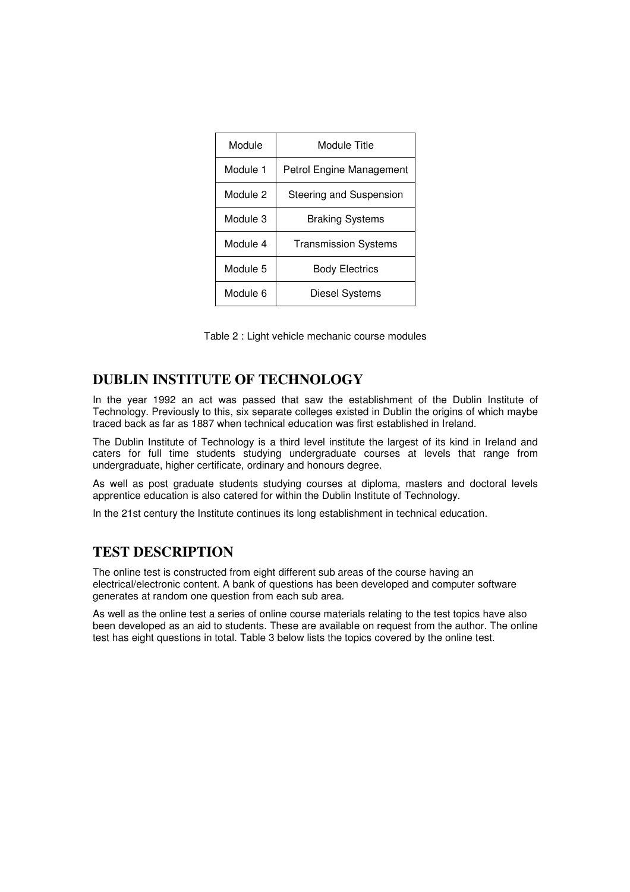| Module   | Module Title                |
|----------|-----------------------------|
| Module 1 | Petrol Engine Management    |
| Module 2 | Steering and Suspension     |
| Module 3 | <b>Braking Systems</b>      |
| Module 4 | <b>Transmission Systems</b> |
| Module 5 | <b>Body Electrics</b>       |
| Module 6 | <b>Diesel Systems</b>       |

Table 2 : Light vehicle mechanic course modules

### **DUBLIN INSTITUTE OF TECHNOLOGY**

In the year 1992 an act was passed that saw the establishment of the Dublin Institute of Technology. Previously to this, six separate colleges existed in Dublin the origins of which maybe traced back as far as 1887 when technical education was first established in Ireland.

The Dublin Institute of Technology is a third level institute the largest of its kind in Ireland and caters for full time students studying undergraduate courses at levels that range from undergraduate, higher certificate, ordinary and honours degree.

As well as post graduate students studying courses at diploma, masters and doctoral levels apprentice education is also catered for within the Dublin Institute of Technology.

In the 21st century the Institute continues its long establishment in technical education.

### **TEST DESCRIPTION**

The online test is constructed from eight different sub areas of the course having an electrical/electronic content. A bank of questions has been developed and computer software generates at random one question from each sub area.

As well as the online test a series of online course materials relating to the test topics have also been developed as an aid to students. These are available on request from the author. The online test has eight questions in total. Table 3 below lists the topics covered by the online test.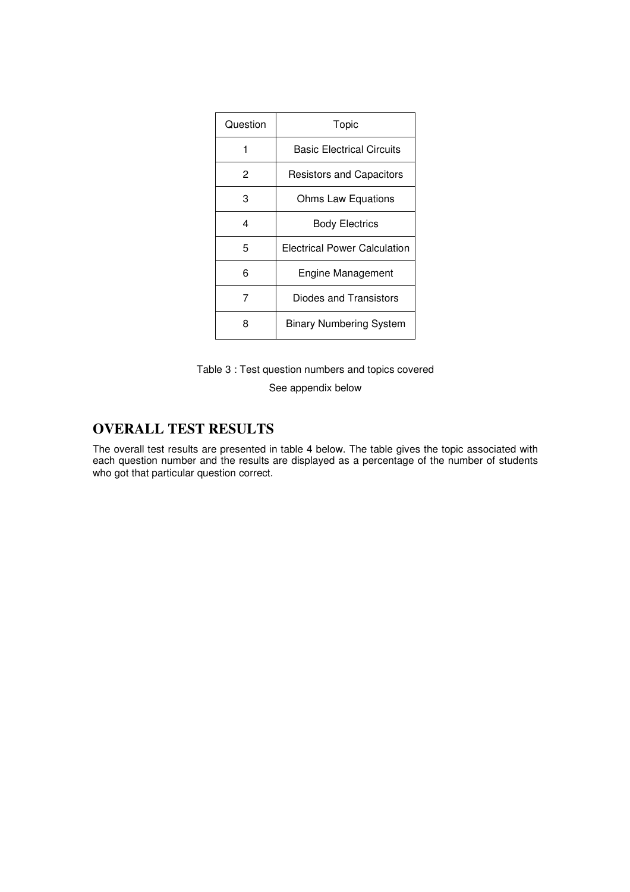| Question | Topic                            |
|----------|----------------------------------|
| 1        | <b>Basic Electrical Circuits</b> |
| 2        | <b>Resistors and Capacitors</b>  |
| З        | Ohms Law Equations               |
| 4        | <b>Body Electrics</b>            |
| 5        | Electrical Power Calculation     |
| 6        | Engine Management                |
| 7        | Diodes and Transistors           |
| 8        | <b>Binary Numbering System</b>   |

Table 3 : Test question numbers and topics covered

See appendix below

# **OVERALL TEST RESULTS**

The overall test results are presented in table 4 below. The table gives the topic associated with each question number and the results are displayed as a percentage of the number of students who got that particular question correct.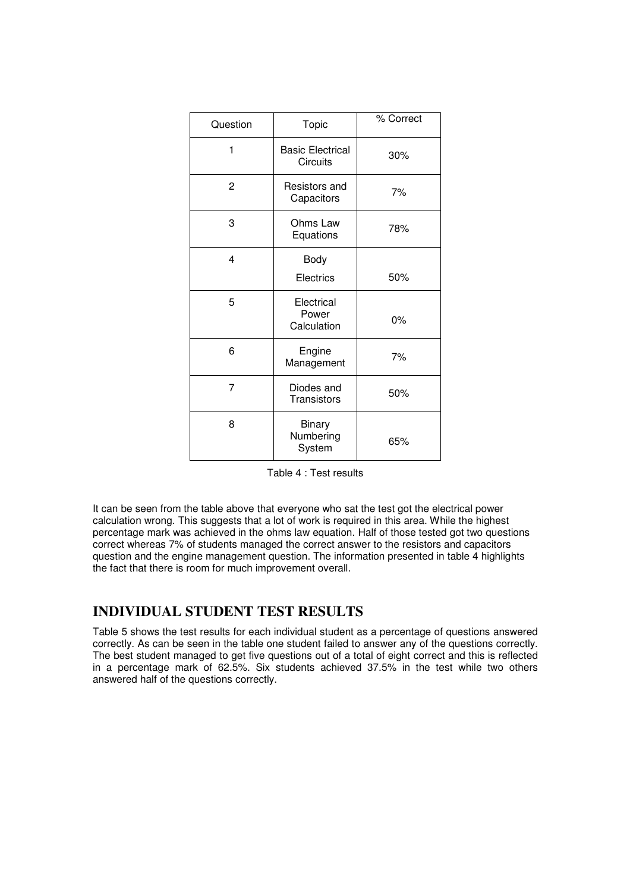| Question | Topic                               | % Correct |
|----------|-------------------------------------|-----------|
| 1        | <b>Basic Electrical</b><br>Circuits | 30%       |
| 2        | Resistors and<br>Capacitors         | 7%        |
| 3        | Ohms Law<br>Equations               | 78%       |
| 4        | Body<br>Electrics                   | 50%       |
| 5        | Electrical<br>Power<br>Calculation  | $0\%$     |
| 6        | Engine<br>Management                | 7%        |
| 7        | Diodes and<br>Transistors           | 50%       |
| 8        | Binary<br>Numbering<br>System       | 65%       |

|  |  |  |  |  |  | Table 4 : Test results |
|--|--|--|--|--|--|------------------------|
|--|--|--|--|--|--|------------------------|

It can be seen from the table above that everyone who sat the test got the electrical power calculation wrong. This suggests that a lot of work is required in this area. While the highest percentage mark was achieved in the ohms law equation. Half of those tested got two questions correct whereas 7% of students managed the correct answer to the resistors and capacitors question and the engine management question. The information presented in table 4 highlights the fact that there is room for much improvement overall.

# **INDIVIDUAL STUDENT TEST RESULTS**

Table 5 shows the test results for each individual student as a percentage of questions answered correctly. As can be seen in the table one student failed to answer any of the questions correctly. The best student managed to get five questions out of a total of eight correct and this is reflected in a percentage mark of 62.5%. Six students achieved 37.5% in the test while two others answered half of the questions correctly.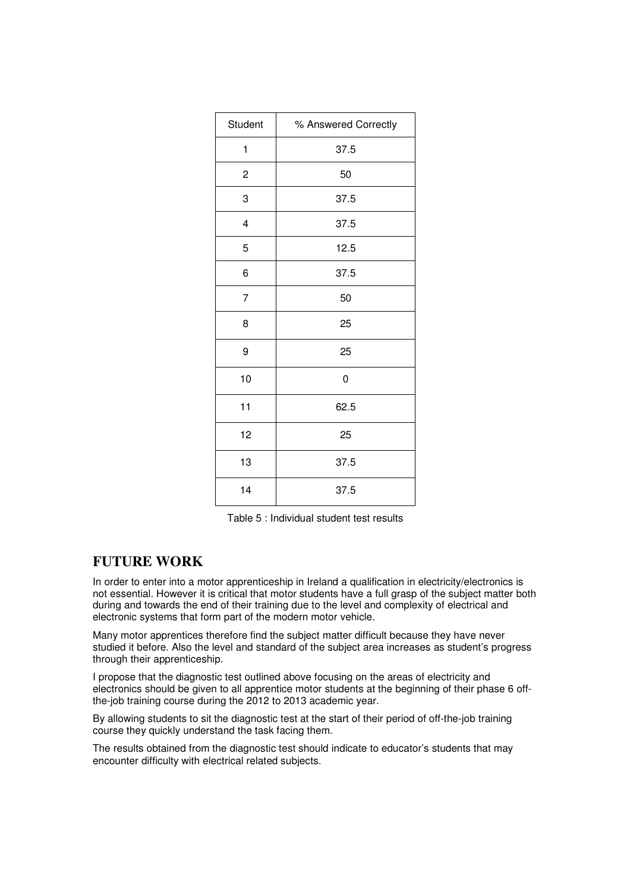| Student        | % Answered Correctly |
|----------------|----------------------|
| 1              | 37.5                 |
| $\overline{c}$ | 50                   |
| 3              | 37.5                 |
| 4              | 37.5                 |
| 5              | 12.5                 |
| 6              | 37.5                 |
| $\overline{7}$ | 50                   |
| 8              | 25                   |
| 9              | 25                   |
| 10             | 0                    |
| 11             | 62.5                 |
| 12             | 25                   |
| 13             | 37.5                 |
| 14             | 37.5                 |

Table 5 : Individual student test results

### **FUTURE WORK**

In order to enter into a motor apprenticeship in Ireland a qualification in electricity/electronics is not essential. However it is critical that motor students have a full grasp of the subject matter both during and towards the end of their training due to the level and complexity of electrical and electronic systems that form part of the modern motor vehicle.

Many motor apprentices therefore find the subject matter difficult because they have never studied it before. Also the level and standard of the subject area increases as student's progress through their apprenticeship.

I propose that the diagnostic test outlined above focusing on the areas of electricity and electronics should be given to all apprentice motor students at the beginning of their phase 6 offthe-job training course during the 2012 to 2013 academic year.

By allowing students to sit the diagnostic test at the start of their period of off-the-job training course they quickly understand the task facing them.

The results obtained from the diagnostic test should indicate to educator's students that may encounter difficulty with electrical related subjects.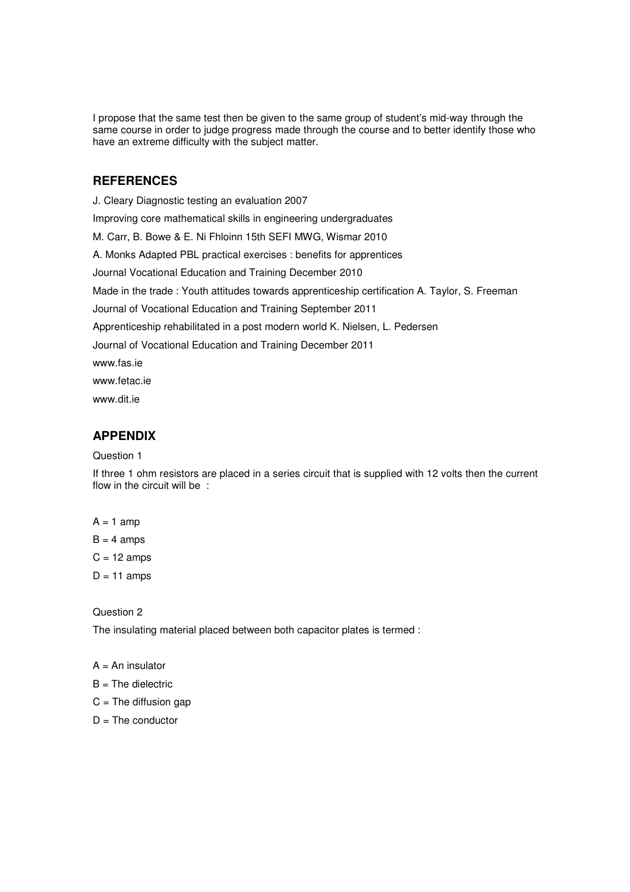I propose that the same test then be given to the same group of student's mid-way through the same course in order to judge progress made through the course and to better identify those who have an extreme difficulty with the subject matter.

#### **REFERENCES**

J. Cleary Diagnostic testing an evaluation 2007 Improving core mathematical skills in engineering undergraduates M. Carr, B. Bowe & E. Ni Fhloinn 15th SEFI MWG, Wismar 2010 A. Monks Adapted PBL practical exercises : benefits for apprentices Journal Vocational Education and Training December 2010 Made in the trade : Youth attitudes towards apprenticeship certification A. Taylor, S. Freeman Journal of Vocational Education and Training September 2011 Apprenticeship rehabilitated in a post modern world K. Nielsen, L. Pedersen Journal of Vocational Education and Training December 2011 www.fas.ie www.fetac.ie www.dit.ie

#### **APPENDIX**

#### Question 1

If three 1 ohm resistors are placed in a series circuit that is supplied with 12 volts then the current flow in the circuit will be :

 $A = 1$  amp

 $B = 4$  amps

 $C = 12$  amps

 $D = 11$  amps

Question 2

The insulating material placed between both capacitor plates is termed :

#### $A = An$  insulator

- $B =$ The dielectric
- $C =$ The diffusion gap
- $D =$ The conductor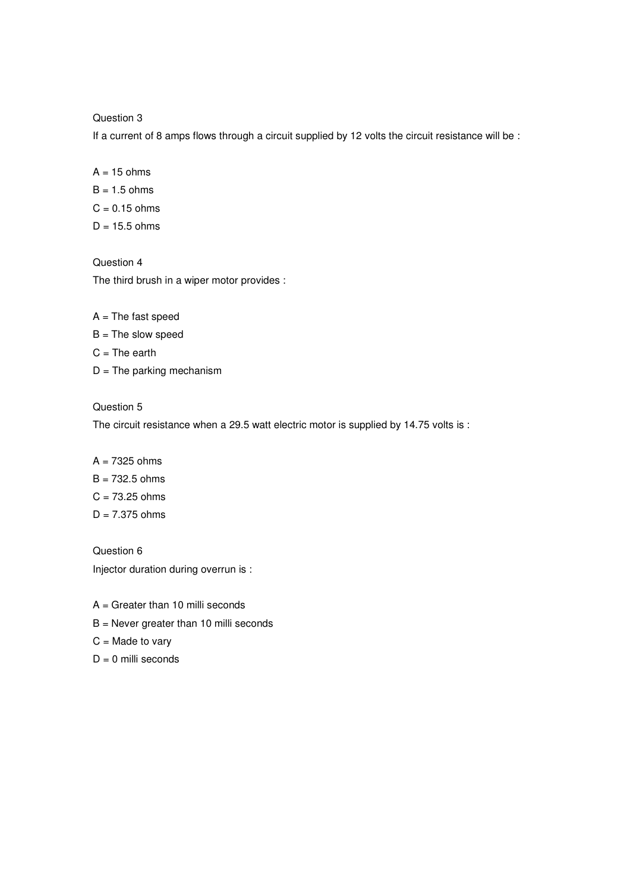Question 3

If a current of 8 amps flows through a circuit supplied by 12 volts the circuit resistance will be :

 $A = 15$  ohms  $B = 1.5$  ohms  $C = 0.15$  ohms  $D = 15.5$  ohms

Question 4 The third brush in a wiper motor provides :

- $A = The fast speed$
- $B =$  The slow speed
- $C = The earth$
- $D =$ The parking mechanism

Question 5

The circuit resistance when a 29.5 watt electric motor is supplied by 14.75 volts is :

#### $A = 7325$  ohms

- B = 732.5 ohms
- $C = 73.25$  ohms
- $D = 7.375$  ohms

Question 6 Injector duration during overrun is :

- $A =$  Greater than 10 milli seconds
- B = Never greater than 10 milli seconds
- $C =$  Made to vary
- $D = 0$  milli seconds